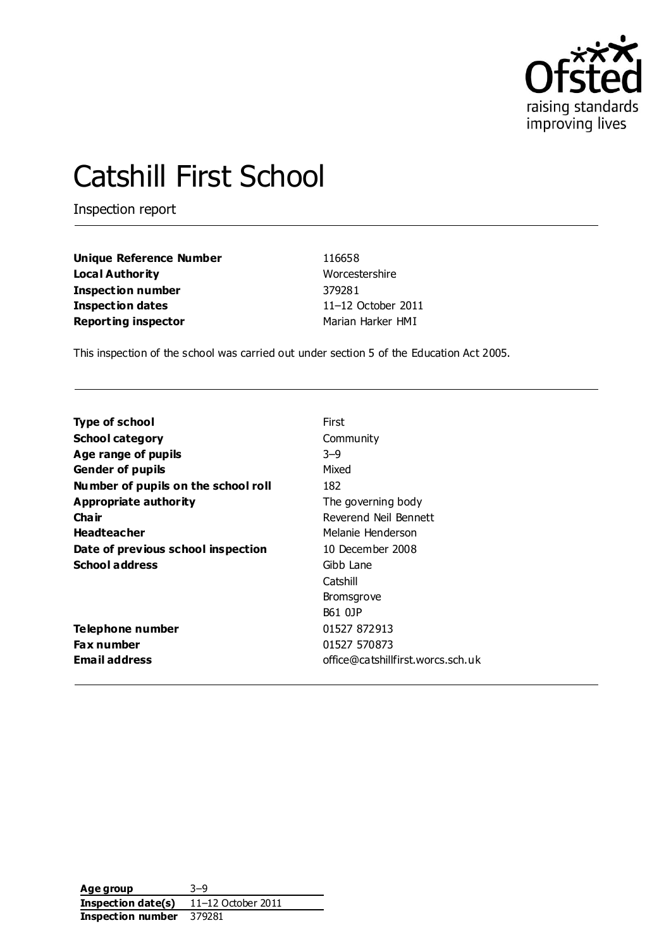

# Catshill First School

Inspection report

| Unique Reference Number    | 116658             |
|----------------------------|--------------------|
| Local Authority            | Worcestershire     |
| Inspection number          | 379281             |
| <b>Inspection dates</b>    | 11-12 October 2011 |
| <b>Reporting inspector</b> | Marian Harker HMI  |

This inspection of the school was carried out under section 5 of the Education Act 2005.

| <b>Type of school</b>               | First                             |
|-------------------------------------|-----------------------------------|
| <b>School category</b>              | Community                         |
| Age range of pupils                 | $3 - 9$                           |
| <b>Gender of pupils</b>             | Mixed                             |
| Number of pupils on the school roll | 182                               |
| Appropriate authority               | The governing body                |
| Cha ir                              | Reverend Neil Bennett             |
| <b>Headteacher</b>                  | Melanie Henderson                 |
| Date of previous school inspection  | 10 December 2008                  |
| <b>School address</b>               | Gibb Lane                         |
|                                     | Catshill                          |
|                                     | <b>Bromsgrove</b>                 |
|                                     | B61 0JP                           |
| Telephone number                    | 01527 872913                      |
| <b>Fax number</b>                   | 01527 570873                      |
| <b>Email address</b>                | office@catshillfirst.worcs.sch.uk |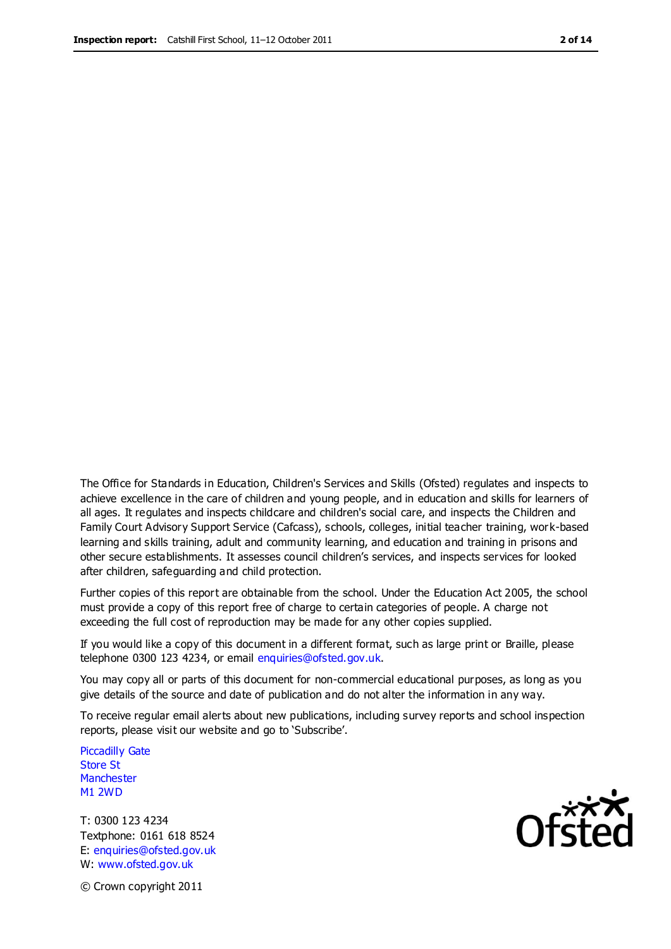The Office for Standards in Education, Children's Services and Skills (Ofsted) regulates and inspects to achieve excellence in the care of children and young people, and in education and skills for learners of all ages. It regulates and inspects childcare and children's social care, and inspects the Children and Family Court Advisory Support Service (Cafcass), schools, colleges, initial teacher training, work-based learning and skills training, adult and community learning, and education and training in prisons and other secure establishments. It assesses council children's services, and inspects services for looked after children, safeguarding and child protection.

Further copies of this report are obtainable from the school. Under the Education Act 2005, the school must provide a copy of this report free of charge to certain categories of people. A charge not exceeding the full cost of reproduction may be made for any other copies supplied.

If you would like a copy of this document in a different format, such as large print or Braille, please telephone 0300 123 4234, or email enquiries@ofsted.gov.uk.

You may copy all or parts of this document for non-commercial educational purposes, as long as you give details of the source and date of publication and do not alter the information in any way.

To receive regular email alerts about new publications, including survey reports and school inspection reports, please visit our website and go to 'Subscribe'.

Piccadilly Gate Store St **Manchester** M1 2WD

T: 0300 123 4234 Textphone: 0161 618 8524 E: enquiries@ofsted.gov.uk W: www.ofsted.gov.uk

© Crown copyright 2011

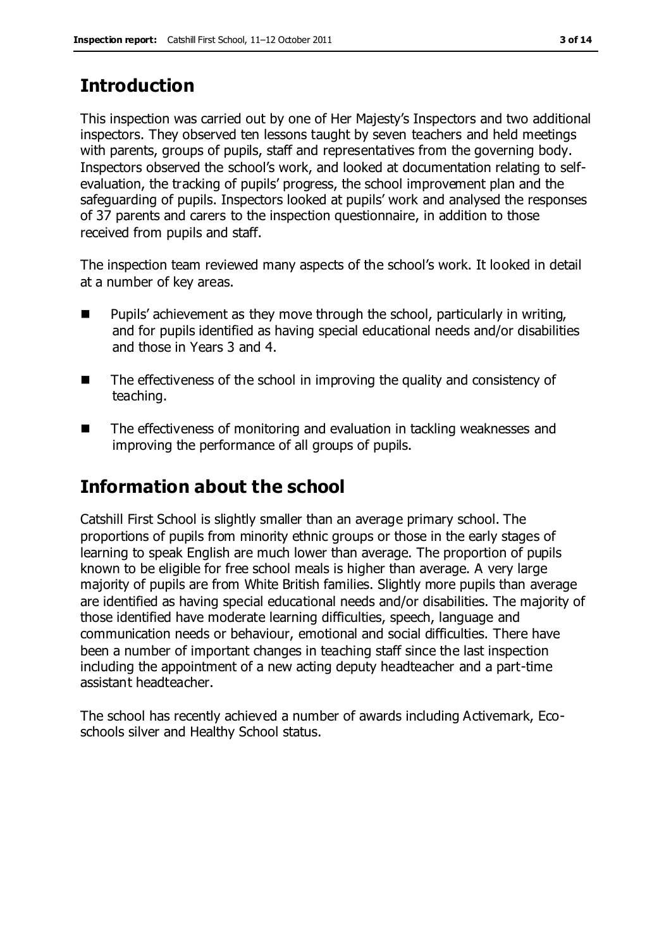## **Introduction**

This inspection was carried out by one of Her Majesty's Inspectors and two additional inspectors. They observed ten lessons taught by seven teachers and held meetings with parents, groups of pupils, staff and representatives from the governing body. Inspectors observed the school's work, and looked at documentation relating to selfevaluation, the tracking of pupils' progress, the school improvement plan and the safeguarding of pupils. Inspectors looked at pupils' work and analysed the responses of 37 parents and carers to the inspection questionnaire, in addition to those received from pupils and staff.

The inspection team reviewed many aspects of the school's work. It looked in detail at a number of key areas.

- $\blacksquare$  Pupils' achievement as they move through the school, particularly in writing, and for pupils identified as having special educational needs and/or disabilities and those in Years 3 and 4.
- The effectiveness of the school in improving the quality and consistency of teaching.
- The effectiveness of monitoring and evaluation in tackling weaknesses and improving the performance of all groups of pupils.

# **Information about the school**

Catshill First School is slightly smaller than an average primary school. The proportions of pupils from minority ethnic groups or those in the early stages of learning to speak English are much lower than average. The proportion of pupils known to be eligible for free school meals is higher than average. A very large majority of pupils are from White British families. Slightly more pupils than average are identified as having special educational needs and/or disabilities. The majority of those identified have moderate learning difficulties, speech, language and communication needs or behaviour, emotional and social difficulties. There have been a number of important changes in teaching staff since the last inspection including the appointment of a new acting deputy headteacher and a part-time assistant headteacher.

The school has recently achieved a number of awards including Activemark, Ecoschools silver and Healthy School status.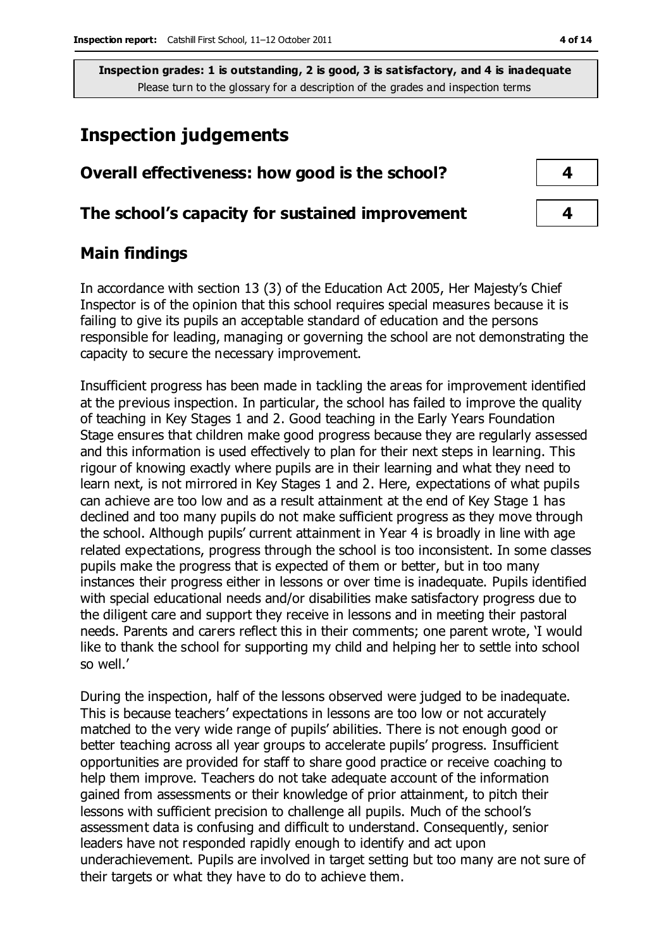## **Inspection judgements**

| Overall effectiveness: how good is the school?  | 4 |
|-------------------------------------------------|---|
| The school's capacity for sustained improvement |   |

### **Main findings**

In accordance with section 13 (3) of the Education Act 2005, Her Majesty's Chief Inspector is of the opinion that this school requires special measures because it is failing to give its pupils an acceptable standard of education and the persons responsible for leading, managing or governing the school are not demonstrating the capacity to secure the necessary improvement.

Insufficient progress has been made in tackling the areas for improvement identified at the previous inspection. In particular, the school has failed to improve the quality of teaching in Key Stages 1 and 2. Good teaching in the Early Years Foundation Stage ensures that children make good progress because they are regularly assessed and this information is used effectively to plan for their next steps in learning. This rigour of knowing exactly where pupils are in their learning and what they need to learn next, is not mirrored in Key Stages 1 and 2. Here, expectations of what pupils can achieve are too low and as a result attainment at the end of Key Stage 1 has declined and too many pupils do not make sufficient progress as they move through the school. Although pupils' current attainment in Year 4 is broadly in line with age related expectations, progress through the school is too inconsistent. In some classes pupils make the progress that is expected of them or better, but in too many instances their progress either in lessons or over time is inadequate. Pupils identified with special educational needs and/or disabilities make satisfactory progress due to the diligent care and support they receive in lessons and in meeting their pastoral needs. Parents and carers reflect this in their comments; one parent wrote, 'I would like to thank the school for supporting my child and helping her to settle into school so well.'

During the inspection, half of the lessons observed were judged to be inadequate. This is because teachers' expectations in lessons are too low or not accurately matched to the very wide range of pupils' abilities. There is not enough good or better teaching across all year groups to accelerate pupils' progress. Insufficient opportunities are provided for staff to share good practice or receive coaching to help them improve. Teachers do not take adequate account of the information gained from assessments or their knowledge of prior attainment, to pitch their lessons with sufficient precision to challenge all pupils. Much of the school's assessment data is confusing and difficult to understand. Consequently, senior leaders have not responded rapidly enough to identify and act upon underachievement. Pupils are involved in target setting but too many are not sure of their targets or what they have to do to achieve them.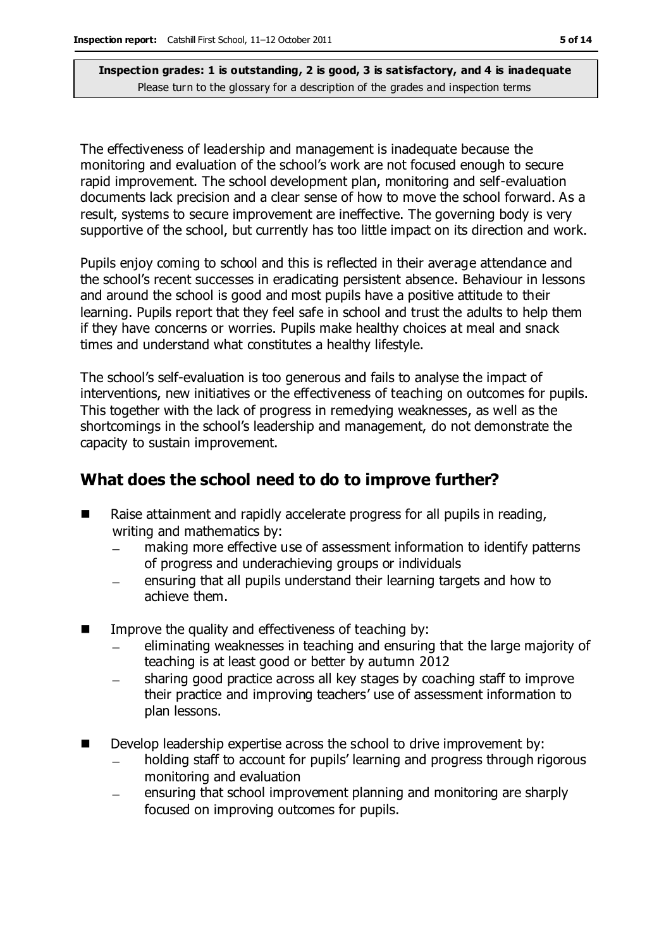The effectiveness of leadership and management is inadequate because the monitoring and evaluation of the school's work are not focused enough to secure rapid improvement. The school development plan, monitoring and self-evaluation documents lack precision and a clear sense of how to move the school forward. As a result, systems to secure improvement are ineffective. The governing body is very supportive of the school, but currently has too little impact on its direction and work.

Pupils enjoy coming to school and this is reflected in their average attendance and the school's recent successes in eradicating persistent absence. Behaviour in lessons and around the school is good and most pupils have a positive attitude to their learning. Pupils report that they feel safe in school and trust the adults to help them if they have concerns or worries. Pupils make healthy choices at meal and snack times and understand what constitutes a healthy lifestyle.

The school's self-evaluation is too generous and fails to analyse the impact of interventions, new initiatives or the effectiveness of teaching on outcomes for pupils. This together with the lack of progress in remedying weaknesses, as well as the shortcomings in the school's leadership and management, do not demonstrate the capacity to sustain improvement.

#### **What does the school need to do to improve further?**

- Raise attainment and rapidly accelerate progress for all pupils in reading, writing and mathematics by:
	- making more effective use of assessment information to identify patterns of progress and underachieving groups or individuals
	- ensuring that all pupils understand their learning targets and how to achieve them.
- $\blacksquare$  Improve the quality and effectiveness of teaching by:
	- eliminating weaknesses in teaching and ensuring that the large majority of teaching is at least good or better by autumn 2012
	- sharing good practice across all key stages by coaching staff to improve their practice and improving teachers' use of assessment information to plan lessons.
- Develop leadership expertise across the school to drive improvement by:
	- holding staff to account for pupils' learning and progress through rigorous monitoring and evaluation
	- ensuring that school improvement planning and monitoring are sharply  $\equiv$ focused on improving outcomes for pupils.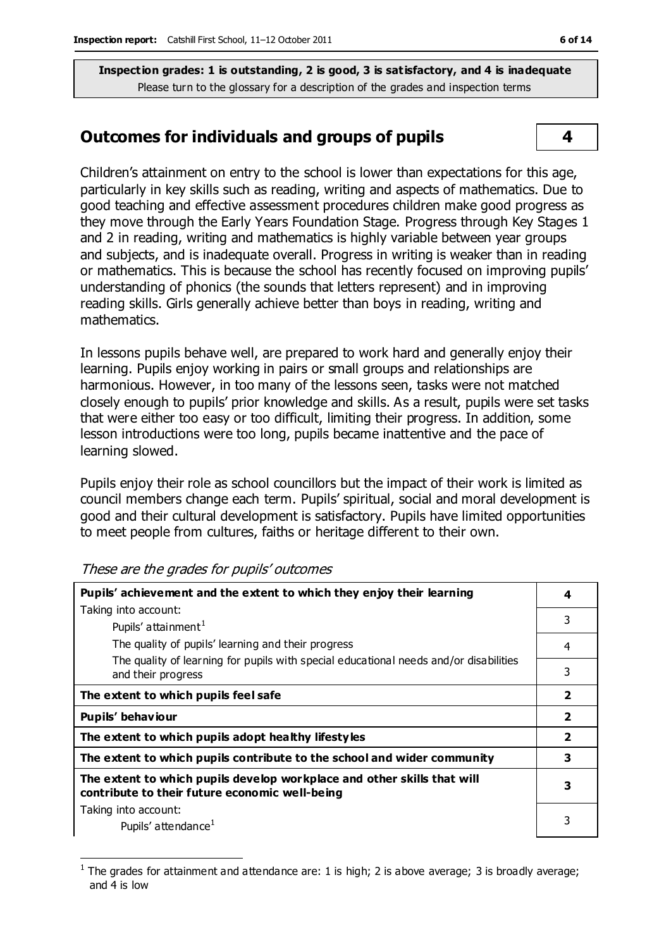#### **Outcomes for individuals and groups of pupils 4**

Children's attainment on entry to the school is lower than expectations for this age, particularly in key skills such as reading, writing and aspects of mathematics. Due to good teaching and effective assessment procedures children make good progress as they move through the Early Years Foundation Stage. Progress through Key Stages 1 and 2 in reading, writing and mathematics is highly variable between year groups and subjects, and is inadequate overall. Progress in writing is weaker than in reading or mathematics. This is because the school has recently focused on improving pupils' understanding of phonics (the sounds that letters represent) and in improving reading skills. Girls generally achieve better than boys in reading, writing and mathematics.

In lessons pupils behave well, are prepared to work hard and generally enjoy their learning. Pupils enjoy working in pairs or small groups and relationships are harmonious. However, in too many of the lessons seen, tasks were not matched closely enough to pupils' prior knowledge and skills. As a result, pupils were set tasks that were either too easy or too difficult, limiting their progress. In addition, some lesson introductions were too long, pupils became inattentive and the pace of learning slowed.

Pupils enjoy their role as school councillors but the impact of their work is limited as council members change each term. Pupils' spiritual, social and moral development is good and their cultural development is satisfactory. Pupils have limited opportunities to meet people from cultures, faiths or heritage different to their own.

| Pupils' achievement and the extent to which they enjoy their learning                                                     |                          |
|---------------------------------------------------------------------------------------------------------------------------|--------------------------|
| Taking into account:                                                                                                      |                          |
| Pupils' attainment <sup>1</sup>                                                                                           | 3                        |
| The quality of pupils' learning and their progress                                                                        | $\overline{4}$           |
| The quality of learning for pupils with special educational needs and/or disabilities<br>and their progress               | 3                        |
| The extent to which pupils feel safe                                                                                      | $\overline{\mathbf{2}}$  |
| Pupils' behaviour                                                                                                         | $\overline{\mathbf{2}}$  |
| The extent to which pupils adopt healthy lifestyles                                                                       | $\overline{\phantom{a}}$ |
| The extent to which pupils contribute to the school and wider community                                                   | 3                        |
| The extent to which pupils develop workplace and other skills that will<br>contribute to their future economic well-being | З                        |
| Taking into account:                                                                                                      |                          |
| Pupils' attendance <sup>1</sup>                                                                                           |                          |

These are the grades for pupils' outcomes

 $\overline{a}$ 

<sup>1</sup> The grades for attainment and attendance are: 1 is high; 2 is above average; 3 is broadly average; and 4 is low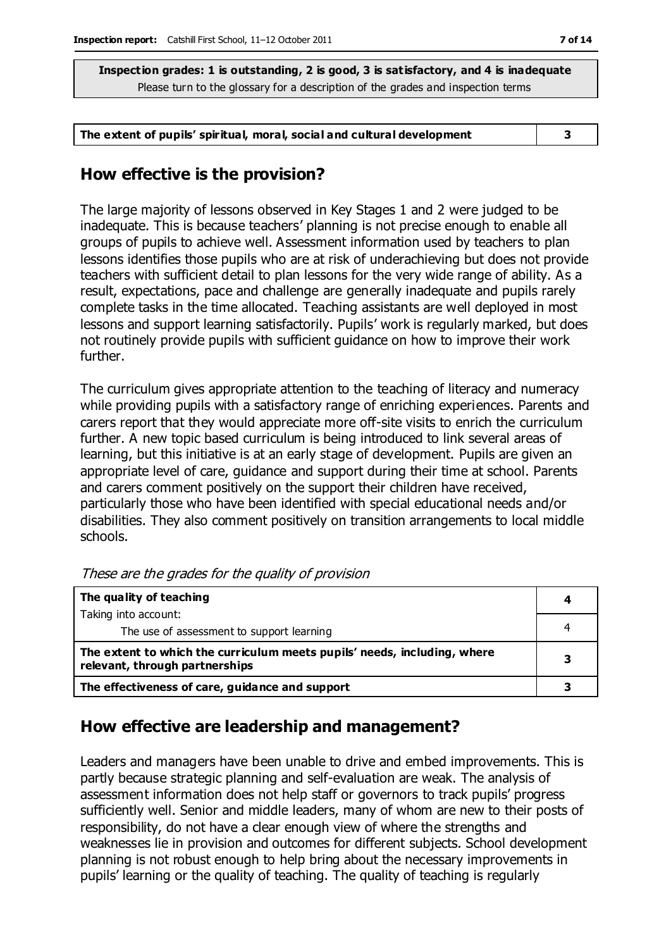**The extent of pupils' spiritual, moral, social and cultural development 3**

#### **How effective is the provision?**

The large majority of lessons observed in Key Stages 1 and 2 were judged to be inadequate. This is because teachers' planning is not precise enough to enable all groups of pupils to achieve well. Assessment information used by teachers to plan lessons identifies those pupils who are at risk of underachieving but does not provide teachers with sufficient detail to plan lessons for the very wide range of ability. As a result, expectations, pace and challenge are generally inadequate and pupils rarely complete tasks in the time allocated. Teaching assistants are well deployed in most lessons and support learning satisfactorily. Pupils' work is regularly marked, but does not routinely provide pupils with sufficient guidance on how to improve their work further.

The curriculum gives appropriate attention to the teaching of literacy and numeracy while providing pupils with a satisfactory range of enriching experiences. Parents and carers report that they would appreciate more off-site visits to enrich the curriculum further. A new topic based curriculum is being introduced to link several areas of learning, but this initiative is at an early stage of development. Pupils are given an appropriate level of care, guidance and support during their time at school. Parents and carers comment positively on the support their children have received, particularly those who have been identified with special educational needs and/or disabilities. They also comment positively on transition arrangements to local middle schools.

| The quality of teaching                                                                                    |  |
|------------------------------------------------------------------------------------------------------------|--|
| Taking into account:                                                                                       |  |
| The use of assessment to support learning                                                                  |  |
| The extent to which the curriculum meets pupils' needs, including, where<br>relevant, through partnerships |  |
| The effectiveness of care, guidance and support                                                            |  |

These are the grades for the quality of provision

## **How effective are leadership and management?**

Leaders and managers have been unable to drive and embed improvements. This is partly because strategic planning and self-evaluation are weak. The analysis of assessment information does not help staff or governors to track pupils' progress sufficiently well. Senior and middle leaders, many of whom are new to their posts of responsibility, do not have a clear enough view of where the strengths and weaknesses lie in provision and outcomes for different subjects. School development planning is not robust enough to help bring about the necessary improvements in pupils' learning or the quality of teaching. The quality of teaching is regularly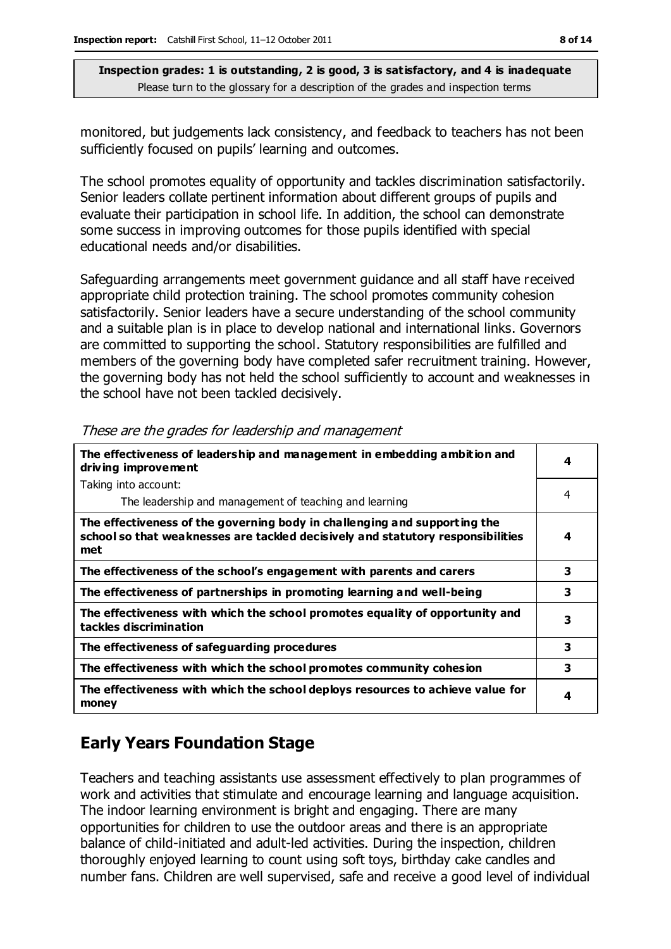monitored, but judgements lack consistency, and feedback to teachers has not been sufficiently focused on pupils' learning and outcomes.

The school promotes equality of opportunity and tackles discrimination satisfactorily. Senior leaders collate pertinent information about different groups of pupils and evaluate their participation in school life. In addition, the school can demonstrate some success in improving outcomes for those pupils identified with special educational needs and/or disabilities.

Safeguarding arrangements meet government guidance and all staff have received appropriate child protection training. The school promotes community cohesion satisfactorily. Senior leaders have a secure understanding of the school community and a suitable plan is in place to develop national and international links. Governors are committed to supporting the school. Statutory responsibilities are fulfilled and members of the governing body have completed safer recruitment training. However, the governing body has not held the school sufficiently to account and weaknesses in the school have not been tackled decisively.

| The effectiveness of leadership and management in embedding ambition and<br>driving improvement                                                                     | 4 |
|---------------------------------------------------------------------------------------------------------------------------------------------------------------------|---|
| Taking into account:                                                                                                                                                |   |
| The leadership and management of teaching and learning                                                                                                              | 4 |
| The effectiveness of the governing body in challenging and supporting the<br>school so that weaknesses are tackled decisively and statutory responsibilities<br>met | 4 |
| The effectiveness of the school's engagement with parents and carers                                                                                                | 3 |
| The effectiveness of partnerships in promoting learning and well-being                                                                                              | 3 |
| The effectiveness with which the school promotes equality of opportunity and<br>tackles discrimination                                                              | 3 |
| The effectiveness of safeguarding procedures                                                                                                                        | 3 |
| The effectiveness with which the school promotes community cohesion                                                                                                 | 3 |
| The effectiveness with which the school deploys resources to achieve value for<br>money                                                                             | 4 |

These are the grades for leadership and management

## **Early Years Foundation Stage**

Teachers and teaching assistants use assessment effectively to plan programmes of work and activities that stimulate and encourage learning and language acquisition. The indoor learning environment is bright and engaging. There are many opportunities for children to use the outdoor areas and there is an appropriate balance of child-initiated and adult-led activities. During the inspection, children thoroughly enjoyed learning to count using soft toys, birthday cake candles and number fans. Children are well supervised, safe and receive a good level of individual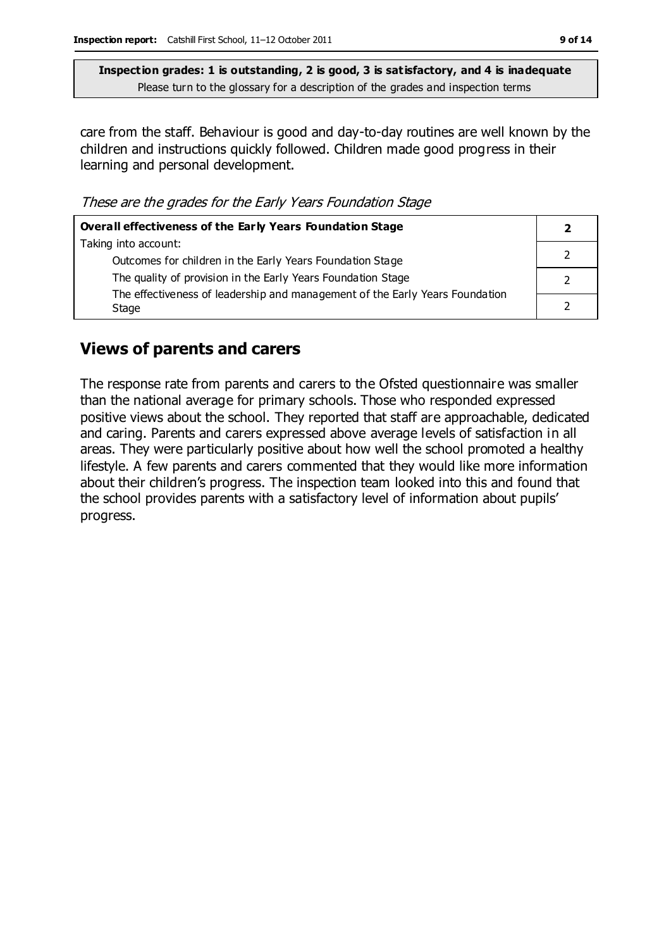care from the staff. Behaviour is good and day-to-day routines are well known by the children and instructions quickly followed. Children made good progress in their learning and personal development.

These are the grades for the Early Years Foundation Stage

| Overall effectiveness of the Early Years Foundation Stage                    |  |
|------------------------------------------------------------------------------|--|
| Taking into account:                                                         |  |
| Outcomes for children in the Early Years Foundation Stage                    |  |
| The quality of provision in the Early Years Foundation Stage                 |  |
| The effectiveness of leadership and management of the Early Years Foundation |  |
| Stage                                                                        |  |

#### **Views of parents and carers**

The response rate from parents and carers to the Ofsted questionnaire was smaller than the national average for primary schools. Those who responded expressed positive views about the school. They reported that staff are approachable, dedicated and caring. Parents and carers expressed above average levels of satisfaction in all areas. They were particularly positive about how well the school promoted a healthy lifestyle. A few parents and carers commented that they would like more information about their children's progress. The inspection team looked into this and found that the school provides parents with a satisfactory level of information about pupils' progress.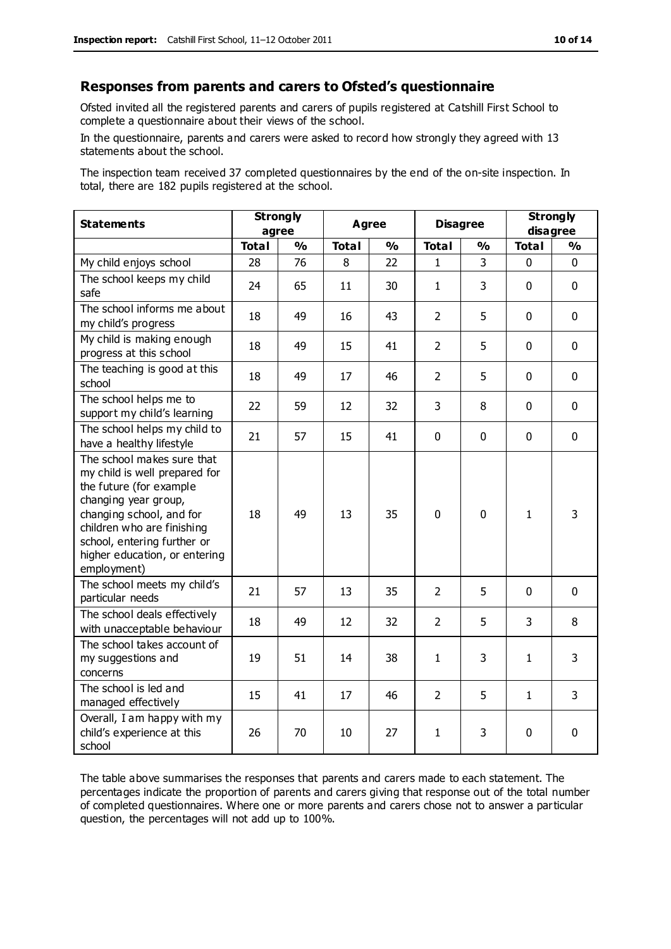#### **Responses from parents and carers to Ofsted's questionnaire**

Ofsted invited all the registered parents and carers of pupils registered at Catshill First School to complete a questionnaire about their views of the school.

In the questionnaire, parents and carers were asked to record how strongly they agreed with 13 statements about the school.

The inspection team received 37 completed questionnaires by the end of the on-site inspection. In total, there are 182 pupils registered at the school.

| <b>Statements</b>                                                                                                                                                                                                                                       | <b>Strongly</b><br>agree |               | <b>Agree</b> |               | <b>Disagree</b> |               | <b>Strongly</b><br>disagree |               |
|---------------------------------------------------------------------------------------------------------------------------------------------------------------------------------------------------------------------------------------------------------|--------------------------|---------------|--------------|---------------|-----------------|---------------|-----------------------------|---------------|
|                                                                                                                                                                                                                                                         | <b>Total</b>             | $\frac{0}{0}$ | <b>Total</b> | $\frac{1}{2}$ | <b>Total</b>    | $\frac{0}{0}$ | <b>Total</b>                | $\frac{1}{2}$ |
| My child enjoys school                                                                                                                                                                                                                                  | 28                       | 76            | 8            | 22            | 1               | 3             | 0                           | $\Omega$      |
| The school keeps my child<br>safe                                                                                                                                                                                                                       | 24                       | 65            | 11           | 30            | $\mathbf{1}$    | 3             | $\mathbf{0}$                | $\mathbf 0$   |
| The school informs me about<br>my child's progress                                                                                                                                                                                                      | 18                       | 49            | 16           | 43            | $\overline{2}$  | 5             | $\mathbf 0$                 | $\mathbf 0$   |
| My child is making enough<br>progress at this school                                                                                                                                                                                                    | 18                       | 49            | 15           | 41            | $\overline{2}$  | 5             | $\mathbf 0$                 | $\mathbf 0$   |
| The teaching is good at this<br>school                                                                                                                                                                                                                  | 18                       | 49            | 17           | 46            | $\overline{2}$  | 5             | $\mathbf 0$                 | $\mathbf 0$   |
| The school helps me to<br>support my child's learning                                                                                                                                                                                                   | 22                       | 59            | 12           | 32            | 3               | 8             | $\mathbf 0$                 | $\mathbf 0$   |
| The school helps my child to<br>have a healthy lifestyle                                                                                                                                                                                                | 21                       | 57            | 15           | 41            | $\mathbf 0$     | $\mathbf 0$   | $\mathbf 0$                 | $\mathbf 0$   |
| The school makes sure that<br>my child is well prepared for<br>the future (for example<br>changing year group,<br>changing school, and for<br>children who are finishing<br>school, entering further or<br>higher education, or entering<br>employment) | 18                       | 49            | 13           | 35            | 0               | $\mathbf 0$   | $\mathbf{1}$                | 3             |
| The school meets my child's<br>particular needs                                                                                                                                                                                                         | 21                       | 57            | 13           | 35            | $\overline{2}$  | 5             | $\mathbf 0$                 | $\mathbf 0$   |
| The school deals effectively<br>with unacceptable behaviour                                                                                                                                                                                             | 18                       | 49            | 12           | 32            | $\overline{2}$  | 5             | 3                           | 8             |
| The school takes account of<br>my suggestions and<br>concerns                                                                                                                                                                                           | 19                       | 51            | 14           | 38            | $\mathbf{1}$    | 3             | $\mathbf{1}$                | 3             |
| The school is led and<br>managed effectively                                                                                                                                                                                                            | 15                       | 41            | 17           | 46            | $\overline{2}$  | 5             | $\mathbf{1}$                | 3             |
| Overall, I am happy with my<br>child's experience at this<br>school                                                                                                                                                                                     | 26                       | 70            | 10           | 27            | $\mathbf{1}$    | 3             | $\mathbf 0$                 | 0             |

The table above summarises the responses that parents and carers made to each statement. The percentages indicate the proportion of parents and carers giving that response out of the total number of completed questionnaires. Where one or more parents and carers chose not to answer a particular question, the percentages will not add up to 100%.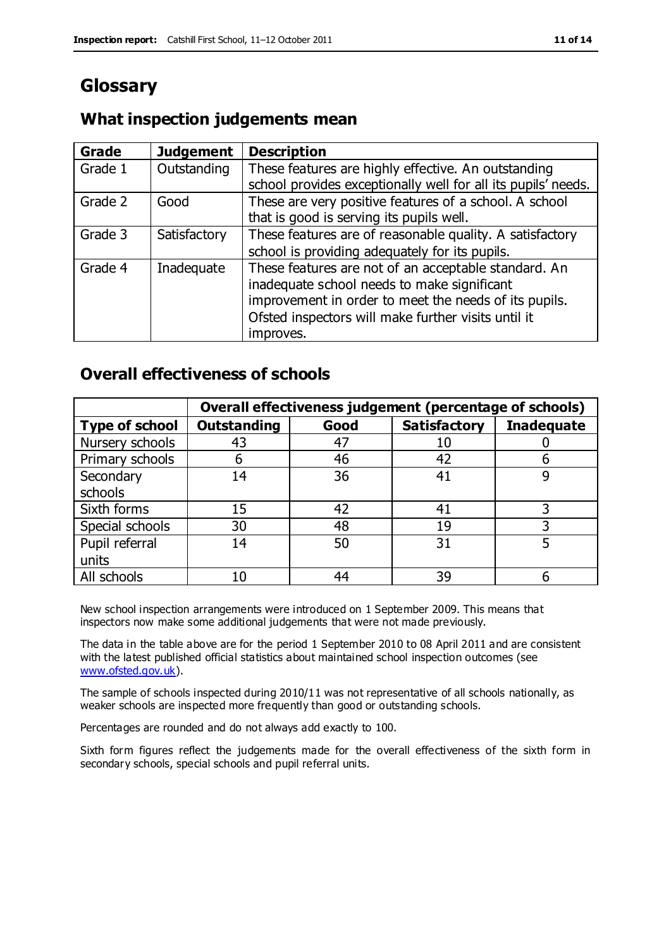# **Glossary**

#### **What inspection judgements mean**

| Grade   | <b>Judgement</b> | <b>Description</b>                                            |
|---------|------------------|---------------------------------------------------------------|
| Grade 1 | Outstanding      | These features are highly effective. An outstanding           |
|         |                  | school provides exceptionally well for all its pupils' needs. |
| Grade 2 | Good             | These are very positive features of a school. A school        |
|         |                  | that is good is serving its pupils well.                      |
| Grade 3 | Satisfactory     | These features are of reasonable quality. A satisfactory      |
|         |                  | school is providing adequately for its pupils.                |
| Grade 4 | Inadequate       | These features are not of an acceptable standard. An          |
|         |                  | inadequate school needs to make significant                   |
|         |                  | improvement in order to meet the needs of its pupils.         |
|         |                  | Ofsted inspectors will make further visits until it           |
|         |                  | improves.                                                     |

#### **Overall effectiveness of schools**

|                       | Overall effectiveness judgement (percentage of schools) |      |                     |                   |
|-----------------------|---------------------------------------------------------|------|---------------------|-------------------|
| <b>Type of school</b> | <b>Outstanding</b>                                      | Good | <b>Satisfactory</b> | <b>Inadequate</b> |
| Nursery schools       | 43                                                      | 47   | 10                  |                   |
| Primary schools       | h                                                       | 46   | 42                  |                   |
| Secondary             | 14                                                      | 36   | 41                  |                   |
| schools               |                                                         |      |                     |                   |
| Sixth forms           | 15                                                      | 42   | 41                  |                   |
| Special schools       | 30                                                      | 48   | 19                  |                   |
| Pupil referral        | 14                                                      | 50   | 31                  |                   |
| units                 |                                                         |      |                     |                   |
| All schools           | 10                                                      | 44   | 39                  |                   |

New school inspection arrangements were introduced on 1 September 2009. This means that inspectors now make some additional judgements that were not made previously.

The data in the table above are for the period 1 September 2010 to 08 April 2011 and are consistent with the latest published official statistics about maintained school inspection outcomes (see [www.ofsted.gov.uk\)](http://www.ofsted.gov.uk/).

The sample of schools inspected during 2010/11 was not representative of all schools nationally, as weaker schools are inspected more frequently than good or outstanding schools.

Percentages are rounded and do not always add exactly to 100.

Sixth form figures reflect the judgements made for the overall effectiveness of the sixth form in secondary schools, special schools and pupil referral units.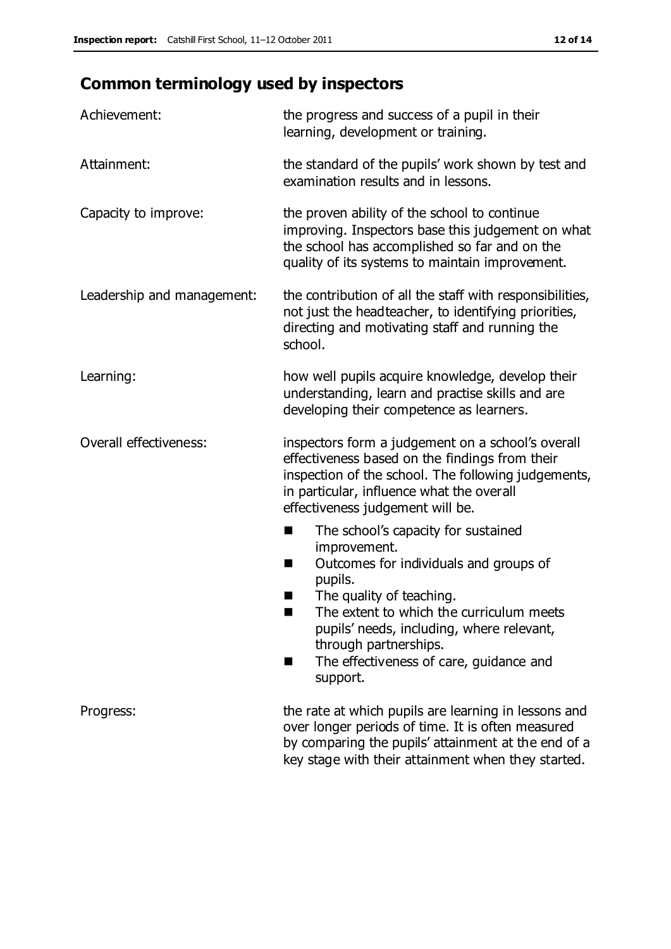# **Common terminology used by inspectors**

| Achievement:               | the progress and success of a pupil in their<br>learning, development or training.                                                                                                                                                                                                                                 |  |  |
|----------------------------|--------------------------------------------------------------------------------------------------------------------------------------------------------------------------------------------------------------------------------------------------------------------------------------------------------------------|--|--|
| Attainment:                | the standard of the pupils' work shown by test and<br>examination results and in lessons.                                                                                                                                                                                                                          |  |  |
| Capacity to improve:       | the proven ability of the school to continue<br>improving. Inspectors base this judgement on what<br>the school has accomplished so far and on the<br>quality of its systems to maintain improvement.                                                                                                              |  |  |
| Leadership and management: | the contribution of all the staff with responsibilities,<br>not just the headteacher, to identifying priorities,<br>directing and motivating staff and running the<br>school.                                                                                                                                      |  |  |
| Learning:                  | how well pupils acquire knowledge, develop their<br>understanding, learn and practise skills and are<br>developing their competence as learners.                                                                                                                                                                   |  |  |
| Overall effectiveness:     | inspectors form a judgement on a school's overall<br>effectiveness based on the findings from their<br>inspection of the school. The following judgements,<br>in particular, influence what the overall<br>effectiveness judgement will be.                                                                        |  |  |
|                            | The school's capacity for sustained<br>improvement.<br>Outcomes for individuals and groups of<br>ш<br>pupils.<br>The quality of teaching.<br>The extent to which the curriculum meets<br>pupils' needs, including, where relevant,<br>through partnerships.<br>The effectiveness of care, guidance and<br>support. |  |  |
| Progress:                  | the rate at which pupils are learning in lessons and<br>over longer periods of time. It is often measured<br>by comparing the pupils' attainment at the end of a<br>key stage with their attainment when they started.                                                                                             |  |  |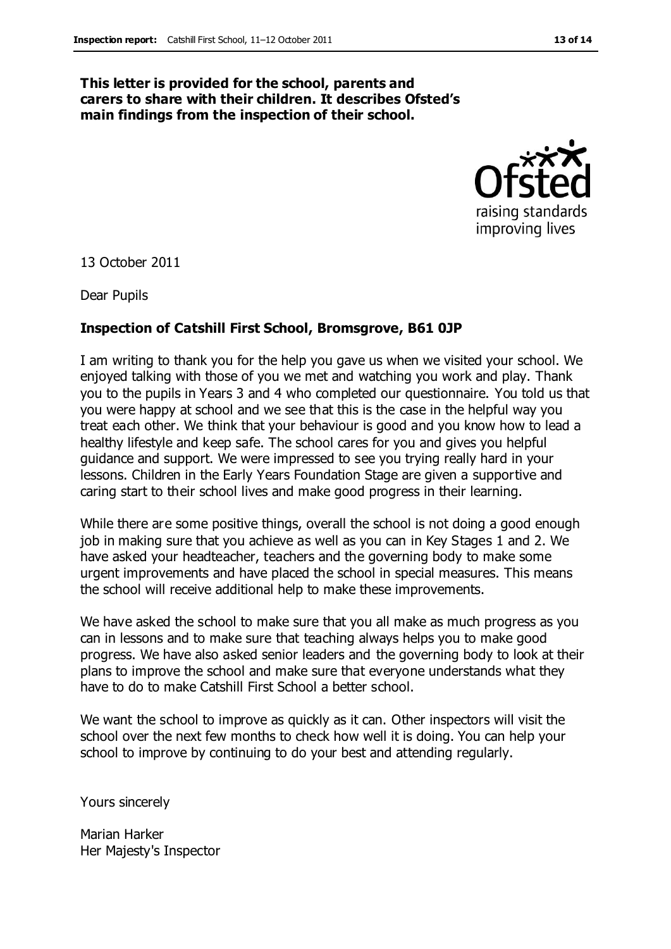#### **This letter is provided for the school, parents and carers to share with their children. It describes Ofsted's main findings from the inspection of their school.**



13 October 2011

Dear Pupils

#### **Inspection of Catshill First School, Bromsgrove, B61 0JP**

I am writing to thank you for the help you gave us when we visited your school. We enjoyed talking with those of you we met and watching you work and play. Thank you to the pupils in Years 3 and 4 who completed our questionnaire. You told us that you were happy at school and we see that this is the case in the helpful way you treat each other. We think that your behaviour is good and you know how to lead a healthy lifestyle and keep safe. The school cares for you and gives you helpful guidance and support. We were impressed to see you trying really hard in your lessons. Children in the Early Years Foundation Stage are given a supportive and caring start to their school lives and make good progress in their learning.

While there are some positive things, overall the school is not doing a good enough job in making sure that you achieve as well as you can in Key Stages 1 and 2. We have asked your headteacher, teachers and the governing body to make some urgent improvements and have placed the school in special measures. This means the school will receive additional help to make these improvements.

We have asked the school to make sure that you all make as much progress as you can in lessons and to make sure that teaching always helps you to make good progress. We have also asked senior leaders and the governing body to look at their plans to improve the school and make sure that everyone understands what they have to do to make Catshill First School a better school.

We want the school to improve as quickly as it can. Other inspectors will visit the school over the next few months to check how well it is doing. You can help your school to improve by continuing to do your best and attending regularly.

Yours sincerely

Marian Harker Her Majesty's Inspector